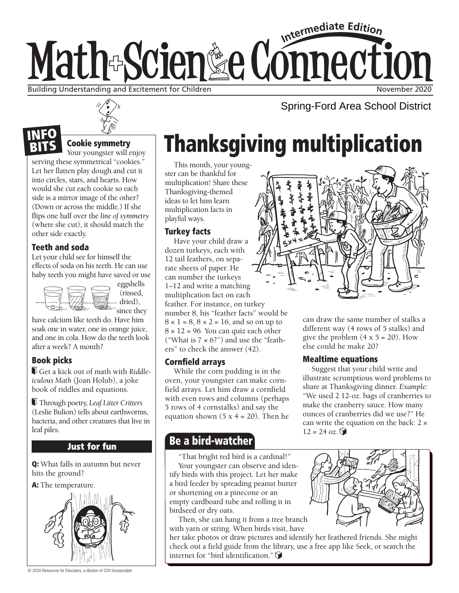# Intermediate Edition Math-Scien&e Connection Building Understanding and Excitement for Children November 2020 November 2020



## Cookie symmetry

Your youngster will enjoy

serving these symmetrical "cookies." Let her flatten play dough and cut it into circles, stars, and hearts. How would she cut each cookie so each side is a mirror image of the other? (Down or across the middle.) If she flips one half over the *line of symmetry*  (where she cut), it should match the other side exactly.

## Teeth and soda

NEO

Let your child see for himself the effects of soda on his teeth. He can use baby teeth you might have saved or use



(rinsed, dried), since they

have calcium like teeth do. Have him soak one in water, one in orange juice, and one in cola. How do the teeth look after a week? A month?

## Book picks

 Get a kick out of math with *Riddleiculous Math* (Joan Holub), a joke book of riddles and equations.

 Through poetry, *Leaf Litter Critters* (Leslie Bulion) tells about earthworms, bacteria, and other creatures that live in leaf piles.

## **Just for fun**

Q: What falls in autumn but never hits the ground?

A: The temperature.



© 2020 Resources for Educators, a division of CCH Incorporated

# Thanksgiving multiplication

This month, your youngster can be thankful for multiplication! Share these Thanksgiving-themed ideas to let him learn multiplication facts in playful ways.

### Turkey facts

Have your child draw a dozen turkeys, each with 12 tail feathers, on separate sheets of paper. He can number the turkeys 1–12 and write a matching multiplication fact on each feather. For instance, on turkey number 8, his "feather facts" would be  $8 \times 1 = 8$ ,  $8 \times 2 = 16$ , and so on up to  $8 \times 12 = 96$ . You can quiz each other ("What is  $7 \times 6$ ?") and use the "feathers" to check the answer (42).

## **Cornfield arrays**

While the corn pudding is in the oven, your youngster can make cornfield arrays. Let him draw a cornfield with even rows and columns (perhaps 5 rows of 4 cornstalks) and say the equation shown  $(5 x 4 = 20)$ . Then he

## Be a bird-watcher

"That bright red bird is a cardinal!" Your youngster can observe and identify birds with this project. Let her make a bird feeder by spreading peanut butter or shortening on a pinecone or an empty cardboard tube and rolling it in birdseed or dry oats.

Then, she can hang it from a tree branch with yarn or string. When birds visit, have

her take photos or draw pictures and identify her feathered friends. She might check out a field guide from the library, use a free app like Seek, or search the internet for "bird identification."



Spring-Ford Area School District

can draw the same number of stalks a different way (4 rows of 5 stalks) and give the problem  $(4 \times 5 = 20)$ . How else could he make 20?

## Mealtime equations

Suggest that your child write and illustrate scrumptious word problems to share at Thanksgiving dinner. *Example:* "We used 2 12-oz. bags of cranberries to make the cranberry sauce. How many ounces of cranberries did we use?" He can write the equation on the back:  $2 \times$  $12 = 24$  oz.